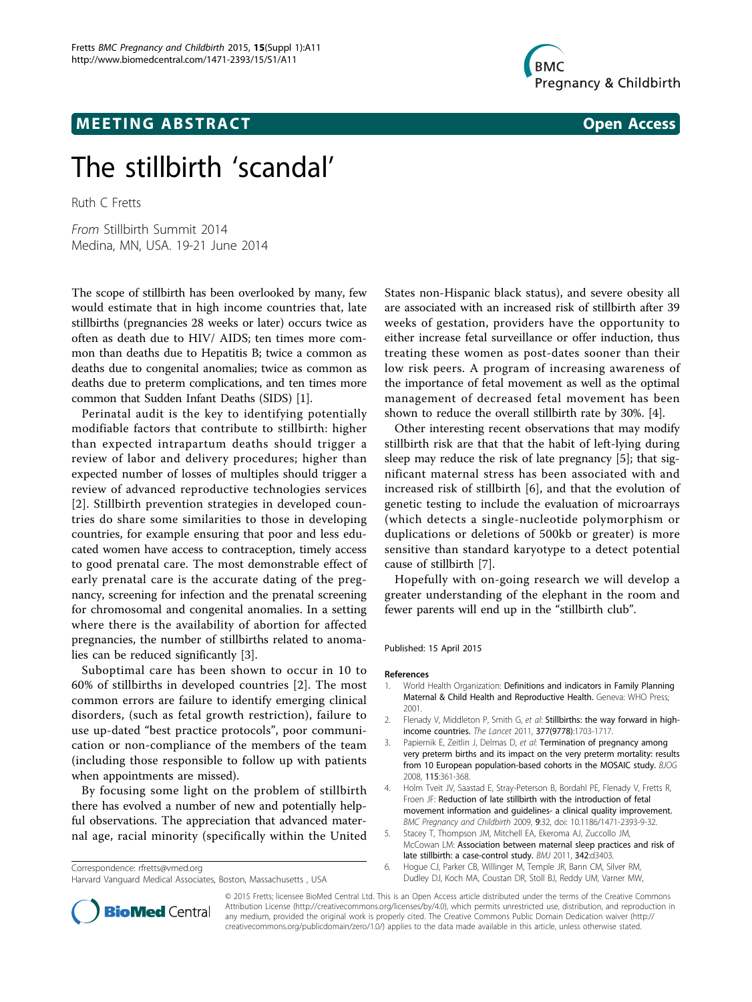



# The stillbirth 'scandal'

Ruth C Fretts

From Stillbirth Summit 2014 Medina, MN, USA. 19-21 June 2014

The scope of stillbirth has been overlooked by many, few would estimate that in high income countries that, late stillbirths (pregnancies 28 weeks or later) occurs twice as often as death due to HIV/ AIDS; ten times more common than deaths due to Hepatitis B; twice a common as deaths due to congenital anomalies; twice as common as deaths due to preterm complications, and ten times more common that Sudden Infant Deaths (SIDS) [1].

Perinatal audit is the key to identifying potentially modifiable factors that contribute to stillbirth: higher than expected intrapartum deaths should trigger a review of labor and delivery procedures; higher than expected number of losses of multiples should trigger a review of advanced reproductive technologies services [2]. Stillbirth prevention strategies in developed countries do share some similarities to those in developing countries, for example ensuring that poor and less educated women have access to contraception, timely access to good prenatal care. The most demonstrable effect of early prenatal care is the accurate dating of the pregnancy, screening for infection and the prenatal screening for chromosomal and congenital anomalies. In a setting where there is the availability of abortion for affected pregnancies, the number of stillbirths related to anomalies can be reduced significantly [3].

Suboptimal care has been shown to occur in 10 to 60% of stillbirths in developed countries [2]. The most common errors are failure to identify emerging clinical disorders, (such as fetal growth restriction), failure to use up-dated "best practice protocols", poor communication or non-compliance of the members of the team (including those responsible to follow up with patients when appointments are missed).

By focusing some light on the problem of stillbirth there has evolved a number of new and potentially helpful observations. The appreciation that advanced maternal age, racial minority (specifically within the United

Correspondence: [rfretts@vmed.org](mailto:rfretts@vmed.org) Harvard Vanguard Medical Associates, Boston, Massachusetts , USA

States non-Hispanic black status), and severe obesity all are associated with an increased risk of stillbirth after 39 weeks of gestation, providers have the opportunity to either increase fetal surveillance or offer induction, thus treating these women as post-dates sooner than their low risk peers. A program of increasing awareness of the importance of fetal movement as well as the optimal management of decreased fetal movement has been shown to reduce the overall stillbirth rate by 30%. [4].

Other interesting recent observations that may modify stillbirth risk are that that the habit of left-lying during sleep may reduce the risk of late pregnancy [5]; that significant maternal stress has been associated with and increased risk of stillbirth [6], and that the evolution of genetic testing to include the evaluation of microarrays (which detects a single-nucleotide polymorphism or duplications or deletions of 500kb or greater) is more sensitive than standard karyotype to a detect potential cause of stillbirth [[7\]](#page-1-0).

Hopefully with on-going research we will develop a greater understanding of the elephant in the room and fewer parents will end up in the "stillbirth club".

# Published: 15 April 2015

### References

- 1. World Health Organization: Definitions and indicators in Family Planning Maternal & Child Health and Reproductive Health. Geneva: WHO Press; 2001.
- 2. Flenady V, Middleton P, Smith G, et al: Stillbirths: the way forward in highincome countries. The Lancet 2011, 377(9778):1703-1717.
- 3. Papiernik E, Zeitlin J, Delmas D, et al: **Termination of pregnancy among** very preterm births and its impact on the very preterm mortality: results from 10 European population-based cohorts in the MOSAIC study. BJOG 2008, 115:361-368.
- 4. Holm Tveit JV, Saastad E, Stray-Peterson B, Bordahl PE, Flenady V, Fretts R, Froen JF: Reduction of late stillbirth with the introduction of fetal movement information and guidelines- a clinical quality improvement. BMC Pregnancy and Childbirth 2009, 9:32, doi: 10.1186/1471-2393-9-32.
- 5. Stacey T, Thompson JM, Mitchell EA, Ekeroma AJ, Zuccollo JM, McCowan LM: Association between maternal sleep practices and risk of late stillbirth: a case-control study. BMJ 2011, 342:d3403.
- 6. Hogue CJ, Parker CB, Willinger M, Temple JR, Bann CM, Silver RM, Dudley DJ, Koch MA, Coustan DR, Stoll BJ, Reddy UM, Varner MW,



© 2015 Fretts; licensee BioMed Central Ltd. This is an Open Access article distributed under the terms of the Creative Commons Attribution License [\(http://creativecommons.org/licenses/by/4.0](http://creativecommons.org/licenses/by/4.0)), which permits unrestricted use, distribution, and reproduction in any medium, provided the original work is properly cited. The Creative Commons Public Domain Dedication waiver [\(http://](http://creativecommons.org/publicdomain/zero/1.0/) [creativecommons.org/publicdomain/zero/1.0/](http://creativecommons.org/publicdomain/zero/1.0/)) applies to the data made available in this article, unless otherwise stated.